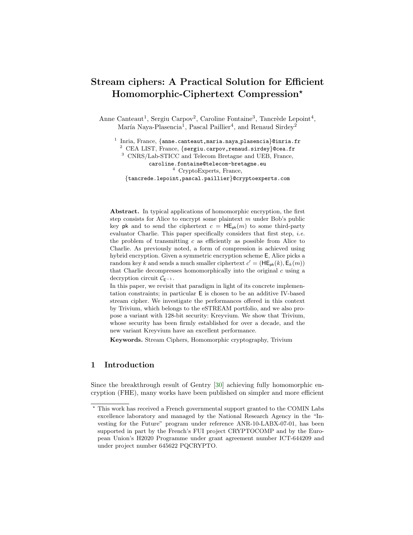# Stream ciphers: A Practical Solution for Efficient Homomorphic-Ciphertext Compression?

Anne Canteaut<sup>1</sup>, Sergiu Carpov<sup>2</sup>, Caroline Fontaine<sup>3</sup>, Tancrède Lepoint<sup>4</sup>, María Naya-Plasencia<sup>1</sup>, Pascal Paillier<sup>4</sup>, and Renaud Sirdey<sup>2</sup>

 $^1$  Inria, France,  $\{$ anne.canteaut,maria.naya\_plasencia}@inria.fr

<sup>2</sup> CEA LIST, France, {sergiu.carpov,renaud.sirdey}@cea.fr

<sup>3</sup> CNRS/Lab-STICC and Telecom Bretagne and UEB, France, caroline.fontaine@telecom-bretagne.eu

<sup>4</sup> CryptoExperts, France,

{tancrede.lepoint,pascal.paillier}@cryptoexperts.com

Abstract. In typical applications of homomorphic encryption, the first step consists for Alice to encrypt some plaintext  $m$  under Bob's public key pk and to send the ciphertext  $c = HE_{nk}(m)$  to some third-party evaluator Charlie. This paper specifically considers that first step, *i.e.* the problem of transmitting  $c$  as efficiently as possible from Alice to Charlie. As previously noted, a form of compression is achieved using hybrid encryption. Given a symmetric encryption scheme E, Alice picks a random key k and sends a much smaller ciphertext  $c' = (HE_{pk}(k), E_k(m))$ that Charlie decompresses homomorphically into the original  $c$  using a decryption circuit  $C_{E^{-1}}$ .

In this paper, we revisit that paradigm in light of its concrete implementation constraints; in particular E is chosen to be an additive IV-based stream cipher. We investigate the performances offered in this context by Trivium, which belongs to the eSTREAM portfolio, and we also propose a variant with 128-bit security: Kreyvium. We show that Trivium, whose security has been firmly established for over a decade, and the new variant Kreyvium have an excellent performance.

Keywords. Stream Ciphers, Homomorphic cryptography, Trivium

## 1 Introduction

Since the breakthrough result of Gentry [\[30\]](#page-19-0) achieving fully homomorphic encryption (FHE), many works have been published on simpler and more efficient

<sup>?</sup> This work has received a French governmental support granted to the COMIN Labs excellence laboratory and managed by the National Research Agency in the "Investing for the Future" program under reference ANR-10-LABX-07-01, has been supported in part by the French's FUI project CRYPTOCOMP and by the European Union's H2020 Programme under grant agreement number ICT-644209 and under project number 645622 PQCRYPTO.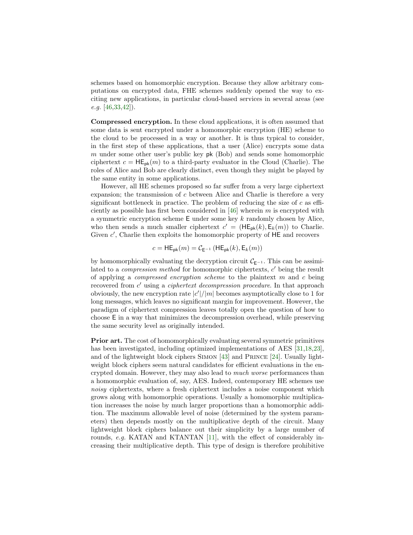schemes based on homomorphic encryption. Because they allow arbitrary computations on encrypted data, FHE schemes suddenly opened the way to exciting new applications, in particular cloud-based services in several areas (see e.g.  $[46,33,42]$  $[46,33,42]$  $[46,33,42]$ .

Compressed encryption. In these cloud applications, it is often assumed that some data is sent encrypted under a homomorphic encryption (HE) scheme to the cloud to be processed in a way or another. It is thus typical to consider, in the first step of these applications, that a user (Alice) encrypts some data  $m$  under some other user's public key  $pk$  (Bob) and sends some homomorphic ciphertext  $c = HE_{pk}(m)$  to a third-party evaluator in the Cloud (Charlie). The roles of Alice and Bob are clearly distinct, even though they might be played by the same entity in some applications.

However, all HE schemes proposed so far suffer from a very large ciphertext expansion; the transmission of c between Alice and Charlie is therefore a very significant bottleneck in practice. The problem of reducing the size of  $c$  as efficiently as possible has first been considered in  $[46]$  wherein m is encrypted with a symmetric encryption scheme  $E$  under some key  $k$  randomly chosen by Alice, who then sends a much smaller ciphertext  $c' = (HE_{pk}(k), E_k(m))$  to Charlie. Given  $c'$ , Charlie then exploits the homomorphic property of  $HE$  and recovers

$$
c = \mathsf{HE}_{\mathsf{pk}}(m) = \mathcal{C}_{\mathsf{E}^{-1}}\left(\mathsf{HE}_{\mathsf{pk}}(k), \mathsf{E}_{k}(m)\right)
$$

by homomorphically evaluating the decryption circuit  $C_{E^{-1}}$ . This can be assimilated to a *compression method* for homomorphic ciphertexts,  $c'$  being the result of applying a *compressed encryption scheme* to the plaintext  $m$  and  $c$  being recovered from c' using a ciphertext decompression procedure. In that approach obviously, the new encryption rate  $|c'|/|m|$  becomes asymptotically close to 1 for long messages, which leaves no significant margin for improvement. However, the paradigm of ciphertext compression leaves totally open the question of how to choose E in a way that minimizes the decompression overhead, while preserving the same security level as originally intended.

Prior art. The cost of homomorphically evaluating several symmetric primitives has been investigated, including optimized implementations of AES [\[31,](#page-19-4)[18](#page-18-0)[,23\]](#page-18-1), and of the lightweight block ciphers SIMON [\[43\]](#page-19-5) and PRINCE [\[24\]](#page-18-2). Usually lightweight block ciphers seem natural candidates for efficient evaluations in the encrypted domain. However, they may also lead to much worse performances than a homomorphic evaluation of, say, AES. Indeed, contemporary HE schemes use noisy ciphertexts, where a fresh ciphertext includes a noise component which grows along with homomorphic operations. Usually a homomorphic multiplication increases the noise by much larger proportions than a homomorphic addition. The maximum allowable level of noise (determined by the system parameters) then depends mostly on the multiplicative depth of the circuit. Many lightweight block ciphers balance out their simplicity by a large number of rounds, e.g. KATAN and KTANTAN [\[11\]](#page-18-3), with the effect of considerably increasing their multiplicative depth. This type of design is therefore prohibitive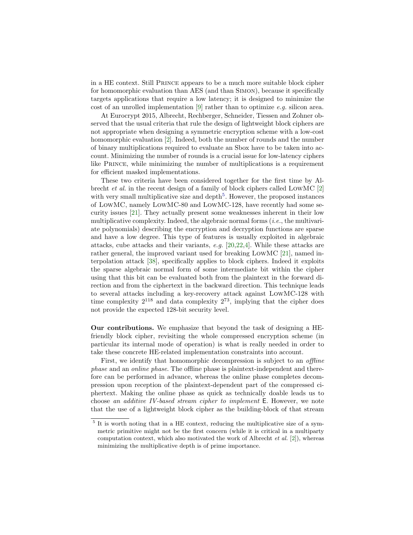in a HE context. Still Prince appears to be a much more suitable block cipher for homomorphic evaluation than AES (and than Simon), because it specifically targets applications that require a low latency; it is designed to minimize the cost of an unrolled implementation  $[9]$  rather than to optimize e.g. silicon area.

At Eurocrypt 2015, Albrecht, Rechberger, Schneider, Tiessen and Zohner observed that the usual criteria that rule the design of lightweight block ciphers are not appropriate when designing a symmetric encryption scheme with a low-cost homomorphic evaluation [\[2\]](#page-17-1). Indeed, both the number of rounds and the number of binary multiplications required to evaluate an Sbox have to be taken into account. Minimizing the number of rounds is a crucial issue for low-latency ciphers like Prince, while minimizing the number of multiplications is a requirement for efficient masked implementations.

These two criteria have been considered together for the first time by Albrecht *et al.* in the recent design of a family of block ciphers called LOWMC  $[2]$ with very small multiplicative size and depth<sup>[5](#page-2-0)</sup>. However, the proposed instances of LowMC, namely LowMC-80 and LowMC-128, have recently had some security issues [\[21\]](#page-18-4). They actually present some weaknesses inherent in their low multiplicative complexity. Indeed, the algebraic normal forms  $(i.e.,$  the multivariate polynomials) describing the encryption and decryption functions are sparse and have a low degree. This type of features is usually exploited in algebraic attacks, cube attacks and their variants, e.g. [\[20](#page-18-5)[,22](#page-18-6)[,4\]](#page-17-2). While these attacks are rather general, the improved variant used for breaking LowMC [\[21\]](#page-18-4), named interpolation attack [\[38\]](#page-19-6), specifically applies to block ciphers. Indeed it exploits the sparse algebraic normal form of some intermediate bit within the cipher using that this bit can be evaluated both from the plaintext in the forward direction and from the ciphertext in the backward direction. This technique leads to several attacks including a key-recovery attack against LowMC-128 with time complexity  $2^{118}$  and data complexity  $2^{73}$ , implying that the cipher does not provide the expected 128-bit security level.

Our contributions. We emphasize that beyond the task of designing a HEfriendly block cipher, revisiting the whole compressed encryption scheme (in particular its internal mode of operation) is what is really needed in order to take these concrete HE-related implementation constraints into account.

First, we identify that homomorphic decompression is subject to an *offline* phase and an online phase. The offline phase is plaintext-independent and therefore can be performed in advance, whereas the online phase completes decompression upon reception of the plaintext-dependent part of the compressed ciphertext. Making the online phase as quick as technically doable leads us to choose an additive IV-based stream cipher to implement E. However, we note that the use of a lightweight block cipher as the building-block of that stream

<span id="page-2-0"></span><sup>&</sup>lt;sup>5</sup> It is worth noting that in a HE context, reducing the multiplicative size of a symmetric primitive might not be the first concern (while it is critical in a multiparty computation context, which also motivated the work of Albrecht *et al.* [\[2\]](#page-17-1)), whereas minimizing the multiplicative depth is of prime importance.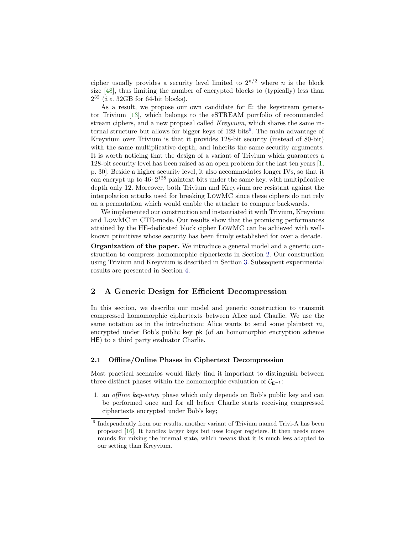cipher usually provides a security level limited to  $2^{n/2}$  where n is the block size [\[48\]](#page-19-7), thus limiting the number of encrypted blocks to (typically) less than  $2^{32}$  (*i.e.* 32GB for 64-bit blocks).

As a result, we propose our own candidate for E: the keystream generator Trivium [\[13\]](#page-18-7), which belongs to the eSTREAM portfolio of recommended stream ciphers, and a new proposal called Kreyvium, which shares the same internal structure but allows for bigger keys of  $128$  bits<sup>[6](#page-3-0)</sup>. The main advantage of Kreyvium over Trivium is that it provides 128-bit security (instead of 80-bit) with the same multiplicative depth, and inherits the same security arguments. It is worth noticing that the design of a variant of Trivium which guarantees a 128-bit security level has been raised as an open problem for the last ten years [\[1,](#page-17-3) p. 30]. Beside a higher security level, it also accommodates longer IVs, so that it can encrypt up to  $46 \cdot 2^{128}$  plaintext bits under the same key, with multiplicative depth only 12. Moreover, both Trivium and Kreyvium are resistant against the interpolation attacks used for breaking LowMC since these ciphers do not rely on a permutation which would enable the attacker to compute backwards.

We implemented our construction and instantiated it with Trivium, Kreyvium and LowMC in CTR-mode. Our results show that the promising performances attained by the HE-dedicated block cipher LowMC can be achieved with wellknown primitives whose security has been firmly established for over a decade.

Organization of the paper. We introduce a general model and a generic construction to compress homomorphic ciphertexts in Section [2.](#page-3-1) Our construction using Trivium and Kreyvium is described in Section [3.](#page-7-0) Subsequent experimental results are presented in Section [4.](#page-14-0)

## <span id="page-3-1"></span>2 A Generic Design for Efficient Decompression

In this section, we describe our model and generic construction to transmit compressed homomorphic ciphertexts between Alice and Charlie. We use the same notation as in the introduction: Alice wants to send some plaintext  $m$ , encrypted under Bob's public key pk (of an homomorphic encryption scheme HE) to a third party evaluator Charlie.

#### 2.1 Offline/Online Phases in Ciphertext Decompression

Most practical scenarios would likely find it important to distinguish between three distinct phases within the homomorphic evaluation of  $C_{\text{F}-1}$ :

1. an offline key-setup phase which only depends on Bob's public key and can be performed once and for all before Charlie starts receiving compressed ciphertexts encrypted under Bob's key;

<span id="page-3-0"></span><sup>&</sup>lt;sup>6</sup> Independently from our results, another variant of Trivium named Trivi-A has been proposed [\[16\]](#page-18-8). It handles larger keys but uses longer registers. It then needs more rounds for mixing the internal state, which means that it is much less adapted to our setting than Kreyvium.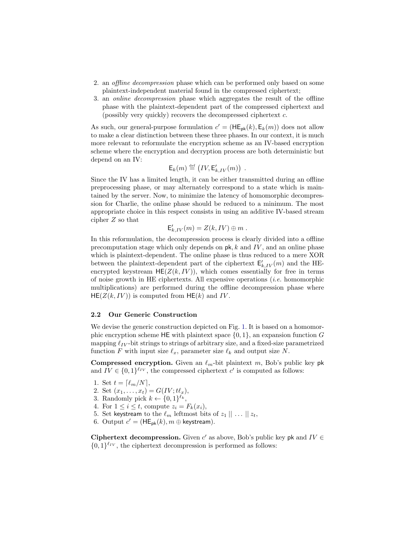- 2. an offline decompression phase which can be performed only based on some plaintext-independent material found in the compressed ciphertext;
- 3. an online decompression phase which aggregates the result of the offline phase with the plaintext-dependent part of the compressed ciphertext and (possibly very quickly) recovers the decompressed ciphertext c.

As such, our general-purpose formulation  $c' = (HE_{pk}(k), E_k(m))$  does not allow to make a clear distinction between these three phases. In our context, it is much more relevant to reformulate the encryption scheme as an IV-based encryption scheme where the encryption and decryption process are both deterministic but depend on an IV:

$$
\mathsf{E}_k(m) \stackrel{\text{def}}{=} (IV, \mathsf{E}'_{k, IV}(m)) \ .
$$

Since the IV has a limited length, it can be either transmitted during an offline preprocessing phase, or may alternately correspond to a state which is maintained by the server. Now, to minimize the latency of homomorphic decompression for Charlie, the online phase should be reduced to a minimum. The most appropriate choice in this respect consists in using an additive IV-based stream cipher Z so that

$$
\mathsf{E}'_{k,IV}(m) = Z(k,IV) \oplus m.
$$

In this reformulation, the decompression process is clearly divided into a offline precomputation stage which only depends on  $pk$ , k and IV, and an online phase which is plaintext-dependent. The online phase is thus reduced to a mere XOR between the plaintext-dependent part of the ciphertext  $\mathsf{E}'_{k,IV}(m)$  and the HEencrypted keystream  $HE(Z(k, IV))$ , which comes essentially for free in terms of noise growth in HE ciphertexts. All expensive operations *(i.e.* homomorphic multiplications) are performed during the offline decompression phase where  $HE(Z(k, IV))$  is computed from  $HE(k)$  and IV.

#### 2.2 Our Generic Construction

We devise the generic construction depicted on Fig. [1.](#page-5-0) It is based on a homomorphic encryption scheme HE with plaintext space  $\{0, 1\}$ , an expansion function G mapping  $\ell_{IV}$ -bit strings to strings of arbitrary size, and a fixed-size parametrized function F with input size  $\ell_x$ , parameter size  $\ell_k$  and output size N.

**Compressed encryption.** Given an  $\ell_m$ -bit plaintext m, Bob's public key pk and  $IV \in \{0,1\}^{\ell_{IV}}$ , the compressed ciphertext c' is computed as follows:

- 1. Set  $t = \lceil \ell_m/N \rceil$ ,
- 2. Set  $(x_1, ..., x_t) = G(IV; t\ell_x),$
- 3. Randomly pick  $k \leftarrow \{0,1\}^{\ell_k}$ ,
- 4. For  $1 \leq i \leq t$ , compute  $z_i = F_k(x_i)$ ,
- 5. Set keystream to the  $\ell_m$  leftmost bits of  $z_1 || \ldots || z_t$ ,
- 6. Output  $c' = (\mathsf{HE}_{\mathsf{pk}}(k), m \oplus \mathsf{keystream}).$

Ciphertext decompression. Given  $c'$  as above, Bob's public key pk and  $IV \in$  $\{0,1\}^{\ell_{IV}}$ , the ciphertext decompression is performed as follows: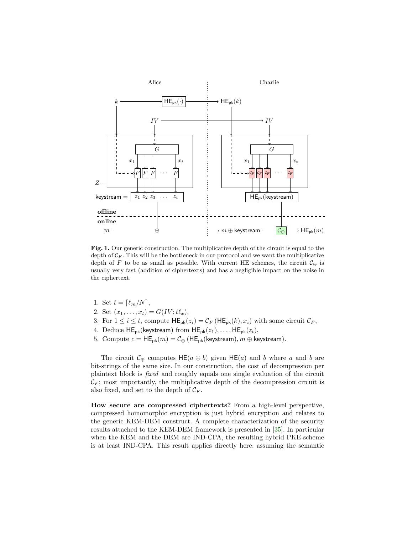

<span id="page-5-0"></span>Fig. 1. Our generic construction. The multiplicative depth of the circuit is equal to the depth of  $C_F$ . This will be the bottleneck in our protocol and we want the multiplicative depth of F to be as small as possible. With current HE schemes, the circuit  $\mathcal{C}_{\oplus}$  is usually very fast (addition of ciphertexts) and has a negligible impact on the noise in the ciphertext.

- 1. Set  $t = \lfloor \ell_m/N \rfloor$ ,
- 2. Set  $(x_1, ..., x_t) = G(IV; t\ell_x),$
- 3. For  $1 \leq i \leq t$ , compute  $\mathsf{HE}_{\mathsf{pk}}(z_i) = \mathcal{C}_F(\mathsf{HE}_{\mathsf{pk}}(k), x_i)$  with some circuit  $\mathcal{C}_F$ ,
- 4. Deduce  $\mathsf{HE}_{\mathsf{pk}}(\mathsf{keystream})$  from  $\mathsf{HE}_{\mathsf{pk}}(z_1), \ldots, \mathsf{HE}_{\mathsf{pk}}(z_t),$
- 5. Compute  $c = HE_{\rm pk}(m) = C_{\oplus} (HE_{\rm pk}(\text{keystream}), m \oplus \text{keystream}).$

The circuit  $\mathcal{C}_{\oplus}$  computes  $HE(a \oplus b)$  given  $HE(a)$  and b where a and b are bit-strings of the same size. In our construction, the cost of decompression per plaintext block is fixed and roughly equals one single evaluation of the circuit  $\mathcal{C}_F$ ; most importantly, the multiplicative depth of the decompression circuit is also fixed, and set to the depth of  $\mathcal{C}_F$ .

How secure are compressed ciphertexts? From a high-level perspective, compressed homomorphic encryption is just hybrid encryption and relates to the generic KEM-DEM construct. A complete characterization of the security results attached to the KEM-DEM framework is presented in [\[35\]](#page-19-8). In particular when the KEM and the DEM are IND-CPA, the resulting hybrid PKE scheme is at least IND-CPA. This result applies directly here: assuming the semantic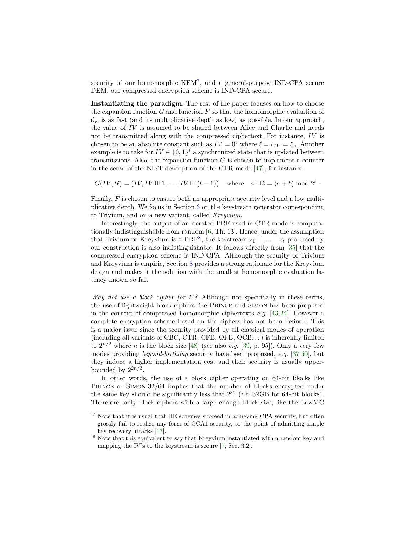security of our homomorphic KEM<sup>[7](#page-6-0)</sup>, and a general-purpose IND-CPA secure DEM, our compressed encryption scheme is IND-CPA secure.

Instantiating the paradigm. The rest of the paper focuses on how to choose the expansion function  $G$  and function  $F$  so that the homomorphic evaluation of  $\mathcal{C}_F$  is as fast (and its multiplicative depth as low) as possible. In our approach, the value of IV is assumed to be shared between Alice and Charlie and needs not be transmitted along with the compressed ciphertext. For instance, IV is chosen to be an absolute constant such as  $IV = 0^{\ell}$  where  $\ell = \ell_{IV} = \ell_x$ . Another example is to take for  $IV \in \{0,1\}^{\ell}$  a synchronized state that is updated between transmissions. Also, the expansion function  $G$  is chosen to implement a counter in the sense of the NIST description of the CTR mode [\[47\]](#page-19-9), for instance

 $G(IV; t\ell) = (IV, IV \boxplus 1, \dots, IV \boxplus (t-1))$  where  $a \boxplus b = (a + b) \mod 2^{\ell}$ .

Finally, F is chosen to ensure both an appropriate security level and a low multiplicative depth. We focus in Section [3](#page-7-0) on the keystream generator corresponding to Trivium, and on a new variant, called Kreyvium.

Interestingly, the output of an iterated PRF used in CTR mode is computationally indistinguishable from random [\[6,](#page-17-4) Th. 13]. Hence, under the assumption that Trivium or Kreyvium is a PRF<sup>[8](#page-6-1)</sup>, the keystream  $z_1 \parallel \ldots \parallel z_t$  produced by our construction is also indistinguishable. It follows directly from [\[35\]](#page-19-8) that the compressed encryption scheme is IND-CPA. Although the security of Trivium and Kreyvium is empiric, Section [3](#page-7-0) provides a strong rationale for the Kreyvium design and makes it the solution with the smallest homomorphic evaluation latency known so far.

Why not use a block cipher for  $F$ ? Although not specifically in these terms, the use of lightweight block ciphers like Prince and Simon has been proposed in the context of compressed homomorphic ciphertexts e.g.  $[43,24]$  $[43,24]$ . However a complete encryption scheme based on the ciphers has not been defined. This is a major issue since the security provided by all classical modes of operation (including all variants of CBC, CTR, CFB, OFB, OCB. . . ) is inherently limited to  $2^{n/2}$  where *n* is the block size [\[48\]](#page-19-7) (see also *e.g.* [\[39,](#page-19-10) p. 95]). Only a very few modes providing beyond-birthday security have been proposed, e.g. [\[37,](#page-19-11)[50\]](#page-19-12), but they induce a higher implementation cost and their security is usually upperbounded by  $2^{2n/3}$ .

In other words, the use of a block cipher operating on 64-bit blocks like PRINCE or SIMON-32/64 implies that the number of blocks encrypted under the same key should be significantly less that  $2^{32}$  (*i.e.* 32GB for 64-bit blocks). Therefore, only block ciphers with a large enough block size, like the LowMC

<span id="page-6-0"></span><sup>7</sup> Note that it is usual that HE schemes succeed in achieving CPA security, but often grossly fail to realize any form of CCA1 security, to the point of admitting simple key recovery attacks [\[17\]](#page-18-9).

<span id="page-6-1"></span> $^8$  Note that this equivalent to say that Kreyvium instantiated with a random key and mapping the IV's to the keystream is secure [\[7,](#page-17-5) Sec. 3.2].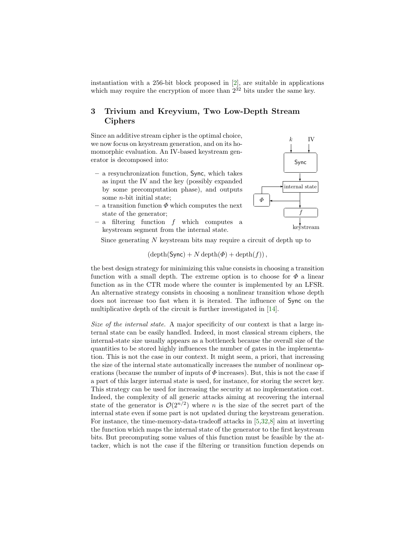instantiation with a 256-bit block proposed in [\[2\]](#page-17-1), are suitable in applications which may require the encryption of more than  $2^{32}$  bits under the same key.

# <span id="page-7-0"></span>3 Trivium and Kreyvium, Two Low-Depth Stream Ciphers

Since an additive stream cipher is the optimal choice, we now focus on keystream generation, and on its homomorphic evaluation. An IV-based keystream generator is decomposed into:

- a resynchronization function, Sync, which takes as input the IV and the key (possibly expanded by some precomputation phase), and outputs some n-bit initial state;
- $-$  a transition function  $\Phi$  which computes the next state of the generator;
- $-$  a filtering function  $f$  which computes a keystream segment from the internal state.



Since generating N keystream bits may require a circuit of depth up to

$$
(\operatorname{depth}(\mathsf{Sync}) + N \operatorname{depth}(\varPhi) + \operatorname{depth}(f)),
$$

the best design strategy for minimizing this value consists in choosing a transition function with a small depth. The extreme option is to choose for  $\Phi$  a linear function as in the CTR mode where the counter is implemented by an LFSR. An alternative strategy consists in choosing a nonlinear transition whose depth does not increase too fast when it is iterated. The influence of Sync on the multiplicative depth of the circuit is further investigated in [\[14\]](#page-18-10).

Size of the internal state. A major specificity of our context is that a large internal state can be easily handled. Indeed, in most classical stream ciphers, the internal-state size usually appears as a bottleneck because the overall size of the quantities to be stored highly influences the number of gates in the implementation. This is not the case in our context. It might seem, a priori, that increasing the size of the internal state automatically increases the number of nonlinear operations (because the number of inputs of  $\Phi$  increases). But, this is not the case if a part of this larger internal state is used, for instance, for storing the secret key. This strategy can be used for increasing the security at no implementation cost. Indeed, the complexity of all generic attacks aiming at recovering the internal state of the generator is  $\mathcal{O}(2^{n/2})$  where n is the size of the secret part of the internal state even if some part is not updated during the keystream generation. For instance, the time-memory-data-tradeoff attacks in [\[5,](#page-17-6)[32,](#page-19-13)[8\]](#page-17-7) aim at inverting the function which maps the internal state of the generator to the first keystream bits. But precomputing some values of this function must be feasible by the attacker, which is not the case if the filtering or transition function depends on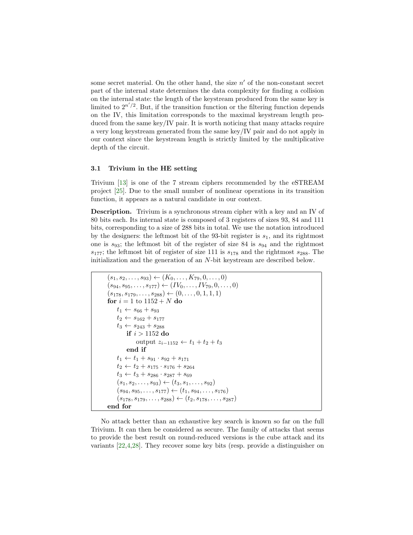some secret material. On the other hand, the size  $n'$  of the non-constant secret part of the internal state determines the data complexity for finding a collision on the internal state: the length of the keystream produced from the same key is limited to  $2^{n'/2}$ . But, if the transition function or the filtering function depends on the IV, this limitation corresponds to the maximal keystream length produced from the same key/IV pair. It is worth noticing that many attacks require a very long keystream generated from the same key/IV pair and do not apply in our context since the keystream length is strictly limited by the multiplicative depth of the circuit.

#### 3.1 Trivium in the HE setting

Trivium [\[13\]](#page-18-7) is one of the 7 stream ciphers recommended by the eSTREAM project [\[25\]](#page-18-11). Due to the small number of nonlinear operations in its transition function, it appears as a natural candidate in our context.

Description. Trivium is a synchronous stream cipher with a key and an IV of 80 bits each. Its internal state is composed of 3 registers of sizes 93, 84 and 111 bits, corresponding to a size of 288 bits in total. We use the notation introduced by the designers: the leftmost bit of the 93-bit register is  $s<sub>1</sub>$ , and its rightmost one is  $s_{93}$ ; the leftmost bit of the register of size 84 is  $s_{94}$  and the rightmost  $s_{177}$ ; the leftmost bit of register of size 111 is  $s_{178}$  and the rightmost  $s_{288}$ . The initialization and the generation of an N-bit keystream are described below.

```
(s_1, s_2, \ldots, s_{93}) \leftarrow (K_0, \ldots, K_{79}, 0, \ldots, 0)(s_{94}, s_{95}, \ldots, s_{177}) \leftarrow (IV_0, \ldots, IV_{79}, 0, \ldots, 0)(s_{178}, s_{179}, \ldots, s_{288}) \leftarrow (0, \ldots, 0, 1, 1, 1)for i = 1 to 1152 + N do
t_1 \leftarrow s_{66} + s_{93}t_2 \leftarrow s_{162} + s_{177}t_3 \leftarrow s_{243} + s_{288}if i > 1152 do
           output z_{i-1152} ← t_1 + t_2 + t_3end if
t_1 \leftarrow t_1 + s_{91} \cdot s_{92} + s_{171}t_2 \leftarrow t_2 + s_{175} \cdot s_{176} + s_{264}t_3 \leftarrow t_3 + s_{286}\cdot s_{287} + s_{69}(s_1, s_2, \ldots, s_{93}) \leftarrow (t_3, s_1, \ldots, s_{92})(s_{94}, s_{95}, \ldots, s_{177}) \leftarrow (t_1, s_{94}, \ldots, s_{176})(s_{178}, s_{179}, \ldots, s_{288}) \leftarrow (t_2, s_{178}, \ldots, s_{287})end for
```
No attack better than an exhaustive key search is known so far on the full Trivium. It can then be considered as secure. The family of attacks that seems to provide the best result on round-reduced versions is the cube attack and its variants [\[22](#page-18-6)[,4](#page-17-2)[,28\]](#page-18-12). They recover some key bits (resp. provide a distinguisher on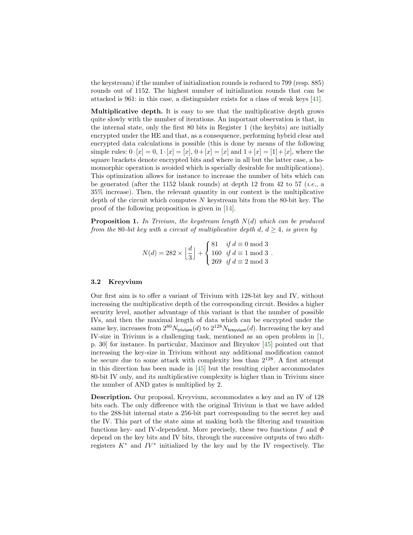the keystream) if the number of initialization rounds is reduced to 799 (resp. 885) rounds out of 1152. The highest number of initialization rounds that can be attacked is 961: in this case, a distinguisher exists for a class of weak keys [\[41\]](#page-19-14).

Multiplicative depth. It is easy to see that the multiplicative depth grows quite slowly with the number of iterations. An important observation is that, in the internal state, only the first 80 bits in Register 1 (the keybits) are initially encrypted under the HE and that, as a consequence, performing hybrid clear and encrypted data calculations is possible (this is done by means of the following simple rules:  $0 \cdot [x] = 0, 1 \cdot [x] = [x], 0 + [x] = [x]$  and  $1 + [x] = [1] + [x]$ , where the square brackets denote encrypted bits and where in all but the latter case, a homomorphic operation is avoided which is specially desirable for multiplications). This optimization allows for instance to increase the number of bits which can be generated (after the 1152 blank rounds) at depth 12 from 42 to 57 (*i.e.*, a 35% increase). Then, the relevant quantity in our context is the multiplicative depth of the circuit which computes  $N$  keystream bits from the 80-bit key. The proof of the following proposition is given in [\[14\]](#page-18-10).

**Proposition 1.** In Trivium, the keystream length  $N(d)$  which can be produced from the 80-bit key with a circuit of multiplicative depth d,  $d \geq 4$ , is given by

$$
N(d) = 282 \times \left\lfloor \frac{d}{3} \right\rfloor + \begin{cases} 81 & \text{if } d \equiv 0 \text{ mod } 3 \\ 160 & \text{if } d \equiv 1 \text{ mod } 3 \\ 269 & \text{if } d \equiv 2 \text{ mod } 3 \end{cases}
$$

<span id="page-9-0"></span>.

#### 3.2 Kreyvium

Our first aim is to offer a variant of Trivium with 128-bit key and IV, without increasing the multiplicative depth of the corresponding circuit. Besides a higher security level, another advantage of this variant is that the number of possible IVs, and then the maximal length of data which can be encrypted under the same key, increases from  $2^{80}N_{\text{trivium}}(d)$  to  $2^{128}N_{\text{krevivium}}(d)$ . Increasing the key and IV-size in Trivium is a challenging task, mentioned as an open problem in [\[1,](#page-17-3) p. 30] for instance. In particular, Maximov and Biryukov [\[45\]](#page-19-15) pointed out that increasing the key-size in Trivium without any additional modification cannot be secure due to some attack with complexity less than  $2^{128}$ . A first attempt in this direction has been made in [\[45\]](#page-19-15) but the resulting cipher accommodates 80-bit IV only, and its multiplicative complexity is higher than in Trivium since the number of AND gates is multiplied by 2.

Description. Our proposal, Kreyvium, accommodates a key and an IV of 128 bits each. The only difference with the original Trivium is that we have added to the 288-bit internal state a 256-bit part corresponding to the secret key and the IV. This part of the state aims at making both the filtering and transition functions key- and IV-dependent. More precisely, these two functions f and  $\Phi$ depend on the key bits and IV bits, through the successive outputs of two shiftregisters  $K^*$  and  $IV^*$  initialized by the key and by the IV respectively. The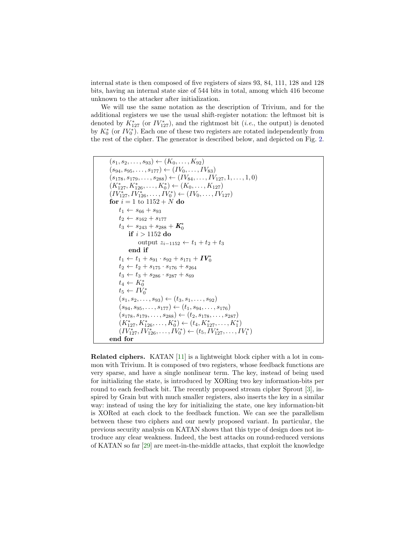internal state is then composed of five registers of sizes 93, 84, 111, 128 and 128 bits, having an internal state size of 544 bits in total, among which 416 become unknown to the attacker after initialization.

We will use the same notation as the description of Trivium, and for the additional registers we use the usual shift-register notation: the leftmost bit is denoted by  $K^*_{127}$  (or  $IV^*_{127}$ ), and the rightmost bit (*i.e.*, the output) is denoted by  $K_0^*$  (or  $IV_0^*$ ). Each one of these two registers are rotated independently from the rest of the cipher. The generator is described below, and depicted on Fig. [2.](#page-11-0)

```
(s_1, s_2, \ldots, s_{93}) \leftarrow (K_0, \ldots, K_{92})(s_{94}, s_{95}, \ldots, s_{177}) \leftarrow (IV_0, \ldots, IV_{83})(s_{178}, s_{179}, \ldots, s_{288}) \leftarrow (IV_{84}, \ldots, IV_{127}, 1, \ldots, 1, 0)(K_{127}^*, K_{126}^*, \ldots, K_0^*) \leftarrow (K_0, \ldots, K_{127})(IV_{127}^*, IV_{126}^*, \ldots, IV_0^*) \leftarrow (IV_0, \ldots, IV_{127})for i = 1 to 1152 + N do
t_1 \leftarrow s_{66} + s_{93}t_2 \leftarrow s_{162} + s_{177}t_3 \leftarrow s_{243} + s_{288} + K_0^*if i > 1152 do
            output z_{i-1152} ← t_1 + t_2 + t_3end if
 t_1 \leftarrow t_1 + s_{91} \cdot s_{92} + s_{171} + IV_0^*t_2 \leftarrow t_2 + s_{175} \cdot s_{176} + s_{264}t_3 \leftarrow t_3 + s_{286}\cdot s_{287} + s_{69}t_4 \leftarrow K_0^*t_5 \leftarrow IV_0^*(s_1, s_2, \ldots, s_{93}) \leftarrow (t_3, s_1, \ldots, s_{92})(s_{94}, s_{95}, \ldots, s_{177}) \leftarrow (t_1, s_{94}, \ldots, s_{176})(s_{178}, s_{179}, \ldots, s_{288}) \leftarrow (t_2, s_{178}, \ldots, s_{287})(K_{127}^*, K_{126}^*, \ldots, K_0^*) \leftarrow (t_4, K_{127}^*, \ldots, K_1^*)(IV_{127}^*, IV_{126}^*, \ldots, IV_0^*) \leftarrow (t_5, IV_{127}^*, \ldots, IV_1^*)end for
```
Related ciphers. KATAN [\[11\]](#page-18-3) is a lightweight block cipher with a lot in common with Trivium. It is composed of two registers, whose feedback functions are very sparse, and have a single nonlinear term. The key, instead of being used for initializing the state, is introduced by XORing two key information-bits per round to each feedback bit. The recently proposed stream cipher Sprout [\[3\]](#page-17-8), inspired by Grain but with much smaller registers, also inserts the key in a similar way: instead of using the key for initializing the state, one key information-bit is XORed at each clock to the feedback function. We can see the parallelism between these two ciphers and our newly proposed variant. In particular, the previous security analysis on KATAN shows that this type of design does not introduce any clear weakness. Indeed, the best attacks on round-reduced versions of KATAN so far [\[29\]](#page-18-13) are meet-in-the-middle attacks, that exploit the knowledge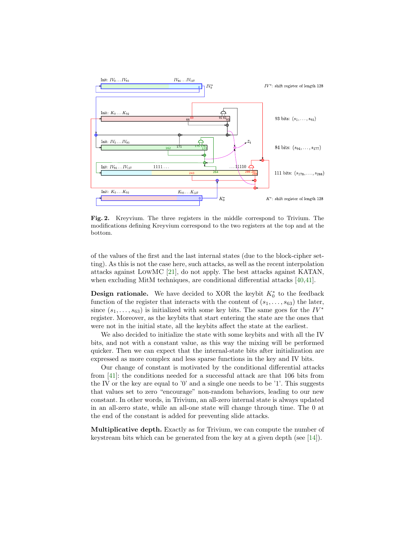

<span id="page-11-0"></span>Fig. 2. Kreyvium. The three registers in the middle correspond to Trivium. The modifications defining Kreyvium correspond to the two registers at the top and at the bottom.

of the values of the first and the last internal states (due to the block-cipher setting). As this is not the case here, such attacks, as well as the recent interpolation attacks against LowMC [\[21\]](#page-18-4), do not apply. The best attacks against KATAN, when excluding MitM techniques, are conditional differential attacks [\[40,](#page-19-16)[41\]](#page-19-14).

**Design rationale.** We have decided to XOR the keybit  $K_0^*$  to the feedback function of the register that interacts with the content of  $(s_1, \ldots, s_{63})$  the later, since  $(s_1, \ldots, s_{63})$  is initialized with some key bits. The same goes for the  $IV^*$ register. Moreover, as the keybits that start entering the state are the ones that were not in the initial state, all the keybits affect the state at the earliest.

We also decided to initialize the state with some keybits and with all the IV bits, and not with a constant value, as this way the mixing will be performed quicker. Then we can expect that the internal-state bits after initialization are expressed as more complex and less sparse functions in the key and IV bits.

Our change of constant is motivated by the conditional differential attacks from [\[41\]](#page-19-14): the conditions needed for a successful attack are that 106 bits from the IV or the key are equal to  $0'$  and a single one needs to be  $1'$ . This suggests that values set to zero "encourage" non-random behaviors, leading to our new constant. In other words, in Trivium, an all-zero internal state is always updated in an all-zero state, while an all-one state will change through time. The 0 at the end of the constant is added for preventing slide attacks.

<span id="page-11-1"></span>Multiplicative depth. Exactly as for Trivium, we can compute the number of keystream bits which can be generated from the key at a given depth (see [\[14\]](#page-18-10)).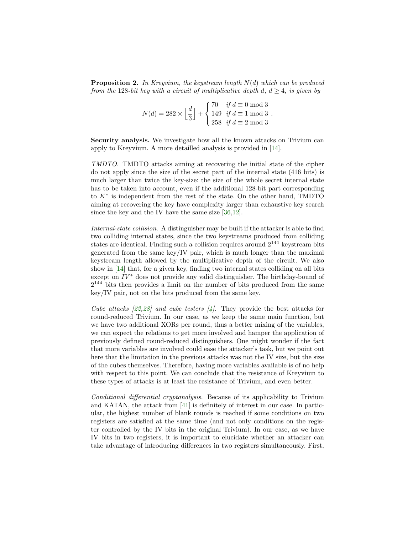**Proposition 2.** In Kreyvium, the keystream length  $N(d)$  which can be produced from the 128-bit key with a circuit of multiplicative depth d,  $d \geq 4$ , is given by

$$
N(d) = 282 \times \left\lfloor \frac{d}{3} \right\rfloor + \begin{cases} 70 & \text{if } d \equiv 0 \bmod 3 \\ 149 & \text{if } d \equiv 1 \bmod 3 \\ 258 & \text{if } d \equiv 2 \bmod 3 \end{cases}.
$$

Security analysis. We investigate how all the known attacks on Trivium can apply to Kreyvium. A more detailled analysis is provided in [\[14\]](#page-18-10).

TMDTO. TMDTO attacks aiming at recovering the initial state of the cipher do not apply since the size of the secret part of the internal state (416 bits) is much larger than twice the key-size: the size of the whole secret internal state has to be taken into account, even if the additional 128-bit part corresponding to  $K^*$  is independent from the rest of the state. On the other hand, TMDTO aiming at recovering the key have complexity larger than exhaustive key search since the key and the IV have the same size [\[36,](#page-19-17)[12\]](#page-18-14).

Internal-state collision. A distinguisher may be built if the attacker is able to find two colliding internal states, since the two keystreams produced from colliding states are identical. Finding such a collision requires around  $2^{144}$  keystream bits generated from the same key/IV pair, which is much longer than the maximal keystream length allowed by the multiplicative depth of the circuit. We also show in [\[14\]](#page-18-10) that, for a given key, finding two internal states colliding on all bits except on  $IV^*$  does not provide any valid distinguisher. The birthday-bound of  $2^{144}$  bits then provides a limit on the number of bits produced from the same key/IV pair, not on the bits produced from the same key.

Cube attacks  $[22,28]$  $[22,28]$  and cube testers  $[4]$ . They provide the best attacks for round-reduced Trivium. In our case, as we keep the same main function, but we have two additional XORs per round, thus a better mixing of the variables, we can expect the relations to get more involved and hamper the application of previously defined round-reduced distinguishers. One might wonder if the fact that more variables are involved could ease the attacker's task, but we point out here that the limitation in the previous attacks was not the IV size, but the size of the cubes themselves. Therefore, having more variables available is of no help with respect to this point. We can conclude that the resistance of Kreyvium to these types of attacks is at least the resistance of Trivium, and even better.

Conditional differential cryptanalysis. Because of its applicability to Trivium and KATAN, the attack from [\[41\]](#page-19-14) is definitely of interest in our case. In particular, the highest number of blank rounds is reached if some conditions on two registers are satisfied at the same time (and not only conditions on the register controlled by the IV bits in the original Trivium). In our case, as we have IV bits in two registers, it is important to elucidate whether an attacker can take advantage of introducing differences in two registers simultaneously. First,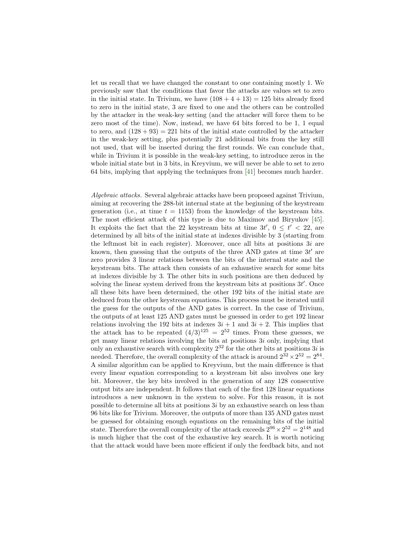let us recall that we have changed the constant to one containing mostly 1. We previously saw that the conditions that favor the attacks are values set to zero in the initial state. In Trivium, we have  $(108 + 4 + 13) = 125$  bits already fixed to zero in the initial state, 3 are fixed to one and the others can be controlled by the attacker in the weak-key setting (and the attacker will force them to be zero most of the time). Now, instead, we have 64 bits forced to be 1, 1 equal to zero, and  $(128 + 93) = 221$  bits of the initial state controlled by the attacker in the weak-key setting, plus potentially 21 additional bits from the key still not used, that will be inserted during the first rounds. We can conclude that, while in Trivium it is possible in the weak-key setting, to introduce zeros in the whole initial state but in 3 bits, in Kreyvium, we will never be able to set to zero 64 bits, implying that applying the techniques from [\[41\]](#page-19-14) becomes much harder.

Algebraic attacks. Several algebraic attacks have been proposed against Trivium, aiming at recovering the 288-bit internal state at the beginning of the keystream generation (i.e., at time  $t = 1153$ ) from the knowledge of the keystream bits. The most efficient attack of this type is due to Maximov and Biryukov [\[45\]](#page-19-15). It exploits the fact that the 22 keystream bits at time  $3t'$ ,  $0 \le t' < 22$ , are determined by all bits of the initial state at indexes divisible by 3 (starting from the leftmost bit in each register). Moreover, once all bits at positions 3i are known, then guessing that the outputs of the three AND gates at time  $3t'$  are zero provides 3 linear relations between the bits of the internal state and the keystream bits. The attack then consists of an exhaustive search for some bits at indexes divisible by 3. The other bits in such positions are then deduced by solving the linear system derived from the keystream bits at positions  $3t'$ . Once all these bits have been determined, the other 192 bits of the initial state are deduced from the other keystream equations. This process must be iterated until the guess for the outputs of the AND gates is correct. In the case of Trivium, the outputs of at least 125 AND gates must be guessed in order to get 192 linear relations involving the 192 bits at indexes  $3i + 1$  and  $3i + 2$ . This implies that the attack has to be repeated  $(4/3)^{125} = 2^{52}$  times. From these guesses, we get many linear relations involving the bits at positions  $3i$  only, implying that only an exhaustive search with complexity  $2^{32}$  for the other bits at positions  $3i$  is needed. Therefore, the overall complexity of the attack is around  $2^{32} \times 2^{52} = 2^{84}$ . A similar algorithm can be applied to Kreyvium, but the main difference is that every linear equation corresponding to a keystream bit also involves one key bit. Moreover, the key bits involved in the generation of any 128 consecutive output bits are independent. It follows that each of the first 128 linear equations introduces a new unknown in the system to solve. For this reason, it is not possible to determine all bits at positions 3i by an exhaustive search on less than 96 bits like for Trivium. Moreover, the outputs of more than 135 AND gates must be guessed for obtaining enough equations on the remaining bits of the initial state. Therefore the overall complexity of the attack exceeds  $2^{96} \times 2^{52} = 2^{148}$  and is much higher that the cost of the exhaustive key search. It is worth noticing that the attack would have been more efficient if only the feedback bits, and not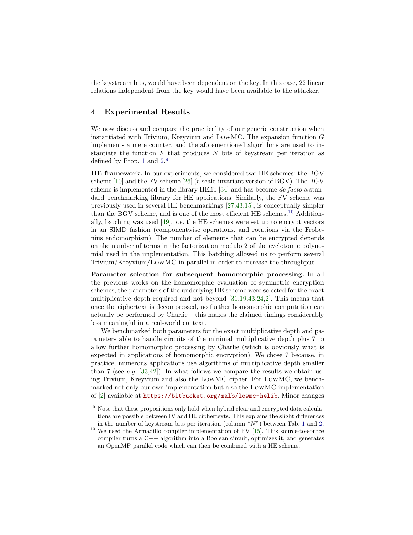the keystream bits, would have been dependent on the key. In this case, 22 linear relations independent from the key would have been available to the attacker.

# <span id="page-14-0"></span>4 Experimental Results

We now discuss and compare the practicality of our generic construction when instantiated with Trivium, Kreyvium and LowMC. The expansion function G implements a mere counter, and the aforementioned algorithms are used to instantiate the function  $F$  that produces  $N$  bits of keystream per iteration as defined by Prop. [1](#page-9-0) and  $2.<sup>9</sup>$  $2.<sup>9</sup>$  $2.<sup>9</sup>$  $2.<sup>9</sup>$ 

HE framework. In our experiments, we considered two HE schemes: the BGV scheme [\[10\]](#page-18-15) and the FV scheme [\[26\]](#page-18-16) (a scale-invariant version of BGV). The BGV scheme is implemented in the library HElib [\[34\]](#page-19-18) and has become de facto a standard benchmarking library for HE applications. Similarly, the FV scheme was previously used in several HE benchmarkings [\[27,](#page-18-17)[43,](#page-19-5)[15\]](#page-18-18), is conceptually simpler than the BGV scheme, and is one of the most efficient HE schemes.[10](#page-14-2) Addition-ally, batching was used [\[49\]](#page-19-19), *i.e.* the HE schemes were set up to encrypt vectors in an SIMD fashion (componentwise operations, and rotations via the Frobenius endomorphism). The number of elements that can be encrypted depends on the number of terms in the factorization modulo 2 of the cyclotomic polynomial used in the implementation. This batching allowed us to perform several Trivium/Kreyvium/LowMC in parallel in order to increase the throughput.

Parameter selection for subsequent homomorphic processing. In all the previous works on the homomorphic evaluation of symmetric encryption schemes, the parameters of the underlying HE scheme were selected for the exact multiplicative depth required and not beyond [\[31,](#page-19-4)[19,](#page-18-19)[43,](#page-19-5)[24,](#page-18-2)[2\]](#page-17-1). This means that once the ciphertext is decompressed, no further homomorphic computation can actually be performed by Charlie – this makes the claimed timings considerably less meaningful in a real-world context.

We benchmarked both parameters for the exact multiplicative depth and parameters able to handle circuits of the minimal multiplicative depth plus 7 to allow further homomorphic processing by Charlie (which is obviously what is expected in applications of homomorphic encryption). We chose 7 because, in practice, numerous applications use algorithms of multiplicative depth smaller than 7 (see e.g.  $[33,42]$  $[33,42]$ ). In what follows we compare the results we obtain using Trivium, Kreyvium and also the LowMC cipher. For LowMC, we benchmarked not only our own implementation but also the LowMC implementation of [\[2\]](#page-17-1) available at <https://bitbucket.org/malb/lowmc-helib>. Minor changes

<span id="page-14-1"></span><sup>&</sup>lt;sup>9</sup> Note that these propositions only hold when hybrid clear and encrypted data calculations are possible between IV and HE ciphertexts. This explains the slight differences in the number of keystream bits per iteration (column " $N$ ") between Tab. [1](#page-15-0) and [2.](#page-16-0)

<span id="page-14-2"></span><sup>&</sup>lt;sup>10</sup> We used the Armadillo compiler implementation of FV [\[15\]](#page-18-18). This source-to-source compiler turns a C++ algorithm into a Boolean circuit, optimizes it, and generates an OpenMP parallel code which can then be combined with a HE scheme.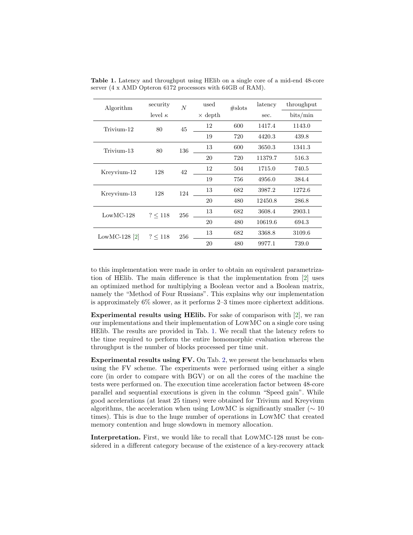| Algorithm       | security       | $\cal N$ | used           | $#$ slots | latency | throughput |
|-----------------|----------------|----------|----------------|-----------|---------|------------|
|                 | level $\kappa$ |          | $\times$ depth |           | sec.    | bits/min   |
| Trivium-12      | 80             | 45       | 12             | 600       | 1417.4  | 1143.0     |
|                 |                |          | 19             | 720       | 4420.3  | 439.8      |
| Trivium-13      | 80             | 136      | 13             | 600       | 3650.3  | 1341.3     |
|                 |                |          | 20             | 720       | 11379.7 | 516.3      |
| Kreyvium-12     | 128            | 42       | 12             | 504       | 1715.0  | 740.5      |
|                 |                |          | 19             | 756       | 4956.0  | 384.4      |
| Kreyvium-13     | 128            | 124      | 13             | 682       | 3987.2  | 1272.6     |
|                 |                |          | 20             | 480       | 12450.8 | 286.8      |
| $LowMC-128$     | ? < 118        | 256      | 13             | 682       | 3608.4  | 2903.1     |
|                 |                |          | 20             | 480       | 10619.6 | 694.3      |
| LowMC-128 $[2]$ | ? < 118        | 256      | 13             | 682       | 3368.8  | 3109.6     |
|                 |                |          | 20             | 480       | 9977.1  | 739.0      |

<span id="page-15-0"></span>Table 1. Latency and throughput using HElib on a single core of a mid-end 48-core server (4 x AMD Opteron 6172 processors with 64GB of RAM).

to this implementation were made in order to obtain an equivalent parametrization of HElib. The main difference is that the implementation from [\[2\]](#page-17-1) uses an optimized method for multiplying a Boolean vector and a Boolean matrix, namely the "Method of Four Russians". This explains why our implementation is approximately 6% slower, as it performs 2–3 times more ciphertext additions.

Experimental results using HElib. For sake of comparison with [\[2\]](#page-17-1), we ran our implementations and their implementation of LowMC on a single core using HElib. The results are provided in Tab. [1.](#page-15-0) We recall that the latency refers to the time required to perform the entire homomorphic evaluation whereas the throughput is the number of blocks processed per time unit.

Experimental results using FV. On Tab. [2,](#page-16-0) we present the benchmarks when using the FV scheme. The experiments were performed using either a single core (in order to compare with BGV) or on all the cores of the machine the tests were performed on. The execution time acceleration factor between 48-core parallel and sequential executions is given in the column "Speed gain". While good accelerations (at least 25 times) were obtained for Trivium and Kreyvium algorithms, the acceleration when using LOWMC is significantly smaller ( $\sim 10$ ) times). This is due to the huge number of operations in LowMC that created memory contention and huge slowdown in memory allocation.

Interpretation. First, we would like to recall that LowMC-128 must be considered in a different category because of the existence of a key-recovery attack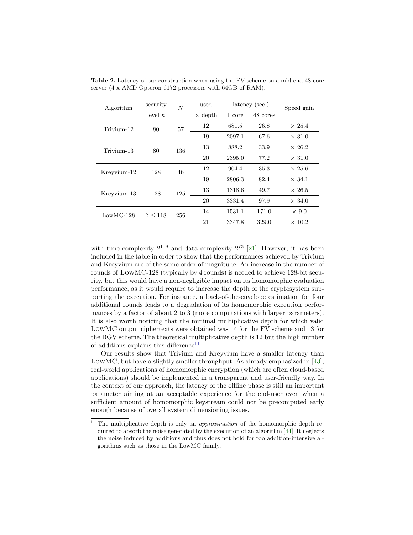| Algorithm   | security       | $\overline{N}$ | used           | latency (sec.) |          | Speed gain    |
|-------------|----------------|----------------|----------------|----------------|----------|---------------|
|             | level $\kappa$ |                | $\times$ depth | 1 core         | 48 cores |               |
| Trivium-12  | 80             | 57             | 12             | 681.5          | 26.8     | $\times$ 25.4 |
|             |                |                | 19             | 2097.1         | 67.6     | $\times$ 31.0 |
| Trivium-13  | 80             | 136            | 13             | 888.2          | 33.9     | $\times$ 26.2 |
|             |                |                | 20             | 2395.0         | 77.2     | $\times$ 31.0 |
| Kreyvium-12 | 128            | 46             | 12             | 904.4          | 35.3     | $\times$ 25.6 |
|             |                |                | 19             | 2806.3         | 82.4     | $\times$ 34.1 |
| Kreyvium-13 | 128            | 125            | 13             | 1318.6         | 49.7     | $\times$ 26.5 |
|             |                |                | 20             | 3331.4         | 97.9     | $\times$ 34.0 |
| $LowMC-128$ | ? < 118        | 256            | 14             | 1531.1         | 171.0    | $\times$ 9.0  |
|             |                |                | 21             | 3347.8         | 329.0    | $\times$ 10.2 |

<span id="page-16-0"></span>Table 2. Latency of our construction when using the FV scheme on a mid-end 48-core server (4 x AMD Opteron 6172 processors with 64GB of RAM).

with time complexity  $2^{118}$  and data complexity  $2^{73}$  [\[21\]](#page-18-4). However, it has been included in the table in order to show that the performances achieved by Trivium and Kreyvium are of the same order of magnitude. An increase in the number of rounds of LowMC-128 (typically by 4 rounds) is needed to achieve 128-bit security, but this would have a non-negligible impact on its homomorphic evaluation performance, as it would require to increase the depth of the cryptosystem supporting the execution. For instance, a back-of-the-envelope estimation for four additional rounds leads to a degradation of its homomorphic execution performances by a factor of about 2 to 3 (more computations with larger parameters). It is also worth noticing that the minimal multiplicative depth for which valid LowMC output ciphertexts were obtained was 14 for the FV scheme and 13 for the BGV scheme. The theoretical multiplicative depth is 12 but the high number of additions explains this difference<sup>[11](#page-16-1)</sup>.

Our results show that Trivium and Kreyvium have a smaller latency than LowMC, but have a slightly smaller throughput. As already emphasized in [\[43\]](#page-19-5), real-world applications of homomorphic encryption (which are often cloud-based applications) should be implemented in a transparent and user-friendly way. In the context of our approach, the latency of the offline phase is still an important parameter aiming at an acceptable experience for the end-user even when a sufficient amount of homomorphic keystream could not be precomputed early enough because of overall system dimensioning issues.

<span id="page-16-1"></span><sup>&</sup>lt;sup>11</sup> The multiplicative depth is only an *approximation* of the homomorphic depth required to absorb the noise generated by the execution of an algorithm [\[44\]](#page-19-20). It neglects the noise induced by additions and thus does not hold for too addition-intensive algorithms such as those in the LowMC family.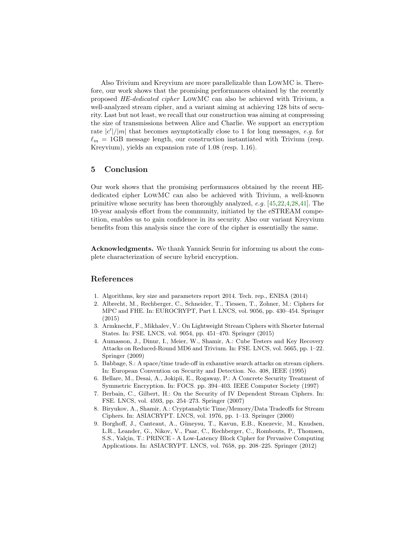Also Trivium and Kreyvium are more parallelizable than LowMC is. Therefore, our work shows that the promising performances obtained by the recently proposed HE-dedicated cipher LowMC can also be achieved with Trivium, a well-analyzed stream cipher, and a variant aiming at achieving 128 bits of security. Last but not least, we recall that our construction was aiming at compressing the size of transmissions between Alice and Charlie. We support an encryption rate  $|c'|/|m|$  that becomes asymptotically close to 1 for long messages, e.g. for  $\ell_m = 1\text{GB}$  message length, our construction instantiated with Trivium (resp. Kreyvium), yields an expansion rate of 1.08 (resp. 1.16).

# 5 Conclusion

Our work shows that the promising performances obtained by the recent HEdedicated cipher LowMC can also be achieved with Trivium, a well-known primitive whose security has been thoroughly analyzed, e.g. [\[45,](#page-19-15)[22](#page-18-6)[,4](#page-17-2)[,28,](#page-18-12)[41\]](#page-19-14). The 10-year analysis effort from the community, initiated by the eSTREAM competition, enables us to gain confidence in its security. Also our variant Kreyvium benefits from this analysis since the core of the cipher is essentially the same.

Acknowledgments. We thank Yannick Seurin for informing us about the complete characterization of secure hybrid encryption.

# References

- <span id="page-17-3"></span>1. Algorithms, key size and parameters report 2014. Tech. rep., ENISA (2014)
- <span id="page-17-1"></span>2. Albrecht, M., Rechberger, C., Schneider, T., Tiessen, T., Zohner, M.: Ciphers for MPC and FHE. In: EUROCRYPT, Part I. LNCS, vol. 9056, pp. 430–454. Springer (2015)
- <span id="page-17-8"></span>3. Armknecht, F., Mikhalev, V.: On Lightweight Stream Ciphers with Shorter Internal States. In: FSE. LNCS, vol. 9054, pp. 451–470. Springer (2015)
- <span id="page-17-2"></span>4. Aumasson, J., Dinur, I., Meier, W., Shamir, A.: Cube Testers and Key Recovery Attacks on Reduced-Round MD6 and Trivium. In: FSE. LNCS, vol. 5665, pp. 1–22. Springer (2009)
- <span id="page-17-6"></span>5. Babbage, S.: A space/time trade-off in exhaustive search attacks on stream ciphers. In: European Convention on Security and Detection. No. 408, IEEE (1995)
- <span id="page-17-4"></span>6. Bellare, M., Desai, A., Jokipii, E., Rogaway, P.: A Concrete Security Treatment of Symmetric Encryption. In: FOCS. pp. 394–403. IEEE Computer Society (1997)
- <span id="page-17-5"></span>7. Berbain, C., Gilbert, H.: On the Security of IV Dependent Stream Ciphers. In: FSE. LNCS, vol. 4593, pp. 254–273. Springer (2007)
- <span id="page-17-7"></span>8. Biryukov, A., Shamir, A.: Cryptanalytic Time/Memory/Data Tradeoffs for Stream Ciphers. In: ASIACRYPT. LNCS, vol. 1976, pp. 1–13. Springer (2000)
- <span id="page-17-0"></span>9. Borghoff, J., Canteaut, A., Güneysu, T., Kavun, E.B., Knezevic, M., Knudsen, L.R., Leander, G., Nikov, V., Paar, C., Rechberger, C., Rombouts, P., Thomsen, S.S., Yalçin, T.: PRINCE - A Low-Latency Block Cipher for Pervasive Computing Applications. In: ASIACRYPT. LNCS, vol. 7658, pp. 208–225. Springer (2012)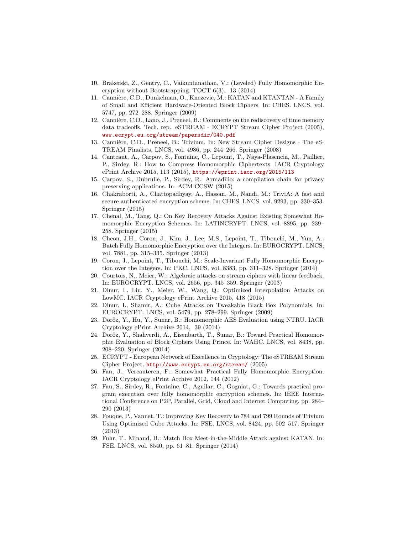- <span id="page-18-15"></span>10. Brakerski, Z., Gentry, C., Vaikuntanathan, V.: (Leveled) Fully Homomorphic Encryption without Bootstrapping. TOCT 6(3), 13 (2014)
- <span id="page-18-3"></span>11. Cannière, C.D., Dunkelman, O., Knezevic, M.: KATAN and KTANTAN - A Family of Small and Efficient Hardware-Oriented Block Ciphers. In: CHES. LNCS, vol. 5747, pp. 272–288. Springer (2009)
- <span id="page-18-14"></span>12. Cannière, C.D., Lano, J., Preneel, B.: Comments on the rediscovery of time memory data tradeoffs. Tech. rep., eSTREAM - ECRYPT Stream Cipher Project (2005), <www.ecrypt.eu.org/stream/papersdir/040.pdf>
- <span id="page-18-7"></span>13. Cannière, C.D., Preneel, B.: Trivium. In: New Stream Cipher Designs - The eS-TREAM Finalists, LNCS, vol. 4986, pp. 244–266. Springer (2008)
- <span id="page-18-10"></span>14. Canteaut, A., Carpov, S., Fontaine, C., Lepoint, T., Naya-Plasencia, M., Paillier, P., Sirdey, R.: How to Compress Homomorphic Ciphertexts. IACR Cryptology ePrint Archive 2015, 113 (2015), <https://eprint.iacr.org/2015/113>
- <span id="page-18-18"></span>15. Carpov, S., Dubrulle, P., Sirdey, R.: Armadillo: a compilation chain for privacy preserving applications. In: ACM CCSW (2015)
- <span id="page-18-8"></span>16. Chakraborti, A., Chattopadhyay, A., Hassan, M., Nandi, M.: TriviA: A fast and secure authenticated encryption scheme. In: CHES. LNCS, vol. 9293, pp. 330–353. Springer (2015)
- <span id="page-18-9"></span>17. Chenal, M., Tang, Q.: On Key Recovery Attacks Against Existing Somewhat Homomorphic Encryption Schemes. In: LATINCRYPT. LNCS, vol. 8895, pp. 239– 258. Springer (2015)
- <span id="page-18-0"></span>18. Cheon, J.H., Coron, J., Kim, J., Lee, M.S., Lepoint, T., Tibouchi, M., Yun, A.: Batch Fully Homomorphic Encryption over the Integers. In: EUROCRYPT. LNCS, vol. 7881, pp. 315–335. Springer (2013)
- <span id="page-18-19"></span>19. Coron, J., Lepoint, T., Tibouchi, M.: Scale-Invariant Fully Homomorphic Encryption over the Integers. In: PKC. LNCS, vol. 8383, pp. 311–328. Springer (2014)
- <span id="page-18-5"></span>20. Courtois, N., Meier, W.: Algebraic attacks on stream ciphers with linear feedback. In: EUROCRYPT. LNCS, vol. 2656, pp. 345–359. Springer (2003)
- <span id="page-18-4"></span>21. Dinur, I., Liu, Y., Meier, W., Wang, Q.: Optimized Interpolation Attacks on LowMC. IACR Cryptology ePrint Archive 2015, 418 (2015)
- <span id="page-18-6"></span>22. Dinur, I., Shamir, A.: Cube Attacks on Tweakable Black Box Polynomials. In: EUROCRYPT. LNCS, vol. 5479, pp. 278–299. Springer (2009)
- <span id="page-18-1"></span>23. Doröz, Y., Hu, Y., Sunar, B.: Homomorphic AES Evaluation using NTRU. IACR Cryptology ePrint Archive 2014, 39 (2014)
- <span id="page-18-2"></span>24. Doröz, Y., Shahverdi, A., Eisenbarth, T., Sunar, B.: Toward Practical Homomorphic Evaluation of Block Ciphers Using Prince. In: WAHC. LNCS, vol. 8438, pp. 208–220. Springer (2014)
- <span id="page-18-11"></span>25. ECRYPT - European Network of Excellence in Cryptology: The eSTREAM Stream Cipher Project. <http://www.ecrypt.eu.org/stream/> (2005)
- <span id="page-18-16"></span>26. Fan, J., Vercauteren, F.: Somewhat Practical Fully Homomorphic Encryption. IACR Cryptology ePrint Archive 2012, 144 (2012)
- <span id="page-18-17"></span>27. Fau, S., Sirdey, R., Fontaine, C., Aguilar, C., Gogniat, G.: Towards practical program execution over fully homomorphic encryption schemes. In: IEEE International Conference on P2P, Parallel, Grid, Cloud and Internet Computing. pp. 284– 290 (2013)
- <span id="page-18-12"></span>28. Fouque, P., Vannet, T.: Improving Key Recovery to 784 and 799 Rounds of Trivium Using Optimized Cube Attacks. In: FSE. LNCS, vol. 8424, pp. 502–517. Springer (2013)
- <span id="page-18-13"></span>29. Fuhr, T., Minaud, B.: Match Box Meet-in-the-Middle Attack against KATAN. In: FSE. LNCS, vol. 8540, pp. 61–81. Springer (2014)